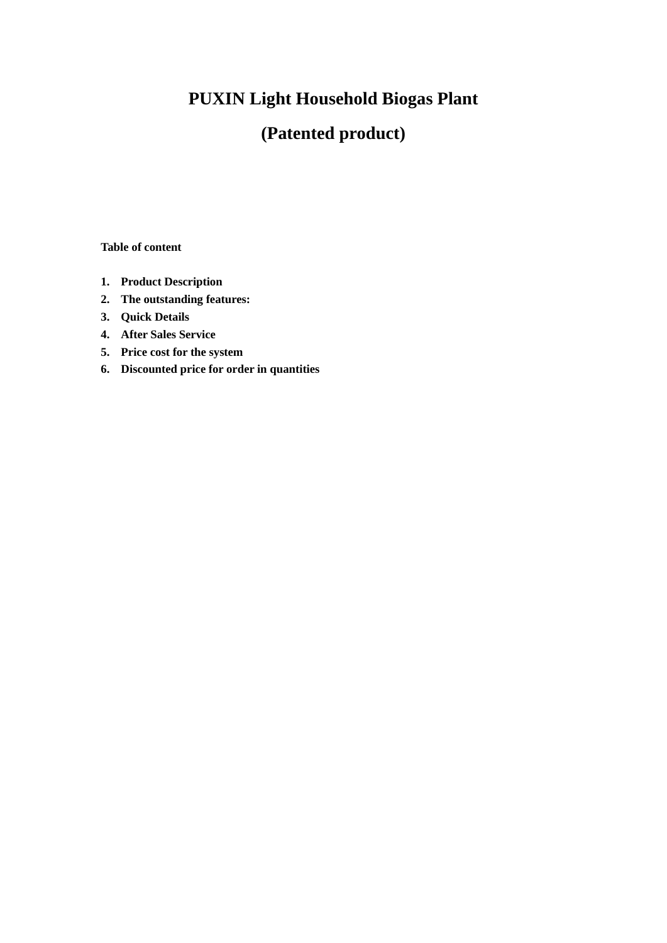# **PUXIN Light Household Biogas Plant**

## **(Patented product)**

**Table of content**

- **1. Product Description**
- **2. The outstanding features:**
- **3. Quick Details**
- **4. After Sales Service**
- **5. Price cost for the system**
- **6. Discounted price for order in quantities**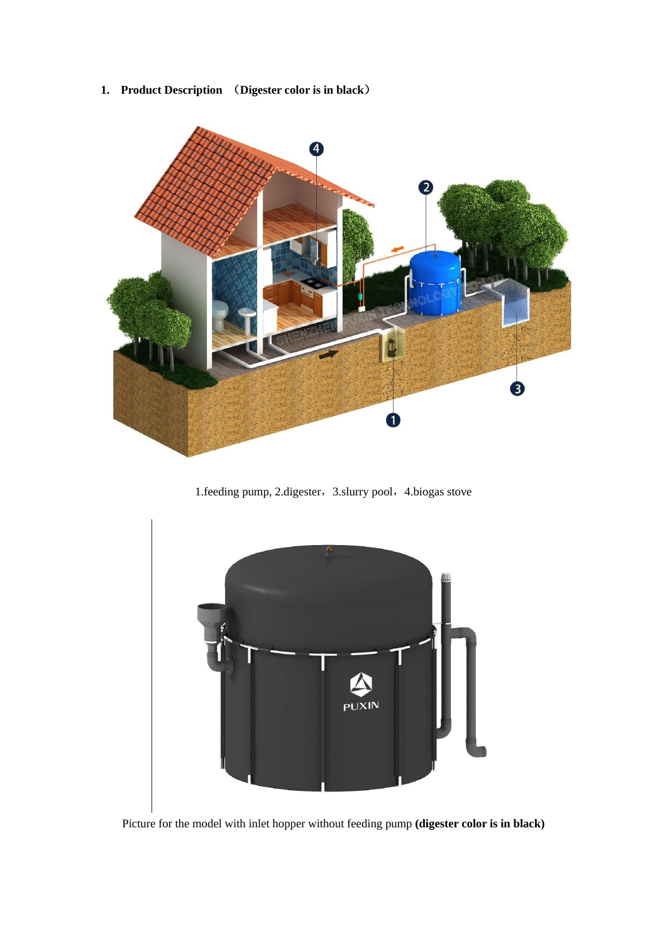**1. Product Description** (**Digester color is in black**)



1.feeding pump, 2.digester, 3.slurry pool, 4.biogas stove



Picture for the model with inlet hopper without feeding pump **(digester color is in black)**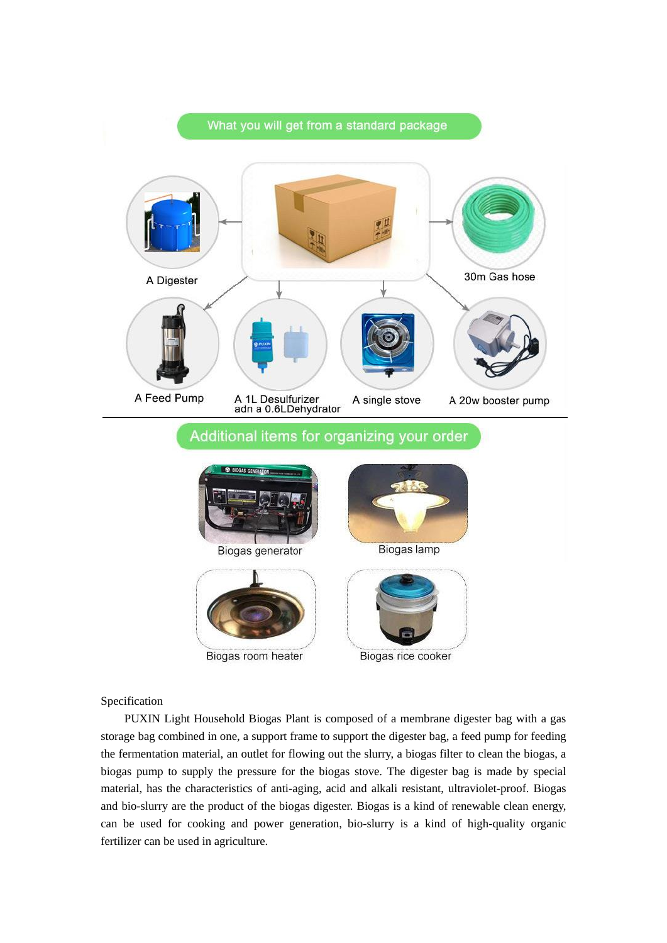

#### Specification

PUXIN Light Household Biogas Plant is composed of a membrane digester bag with a gas storage bag combined in one, a support frame to support the digester bag, a feed pump for feeding the fermentation material, an outlet for flowing out the slurry, a biogas filter to clean the biogas, a biogas pump to supply the pressure for the biogas stove. The digester bag is made by special material, has the characteristics of anti-aging, acid and alkali resistant, ultraviolet-proof. Biogas and bio-slurry are the product of the biogas digester. Biogas is a kind of renewable clean energy, can be used for cooking and power generation, bio-slurry is a kind of high-quality organic fertilizer can be used in agriculture.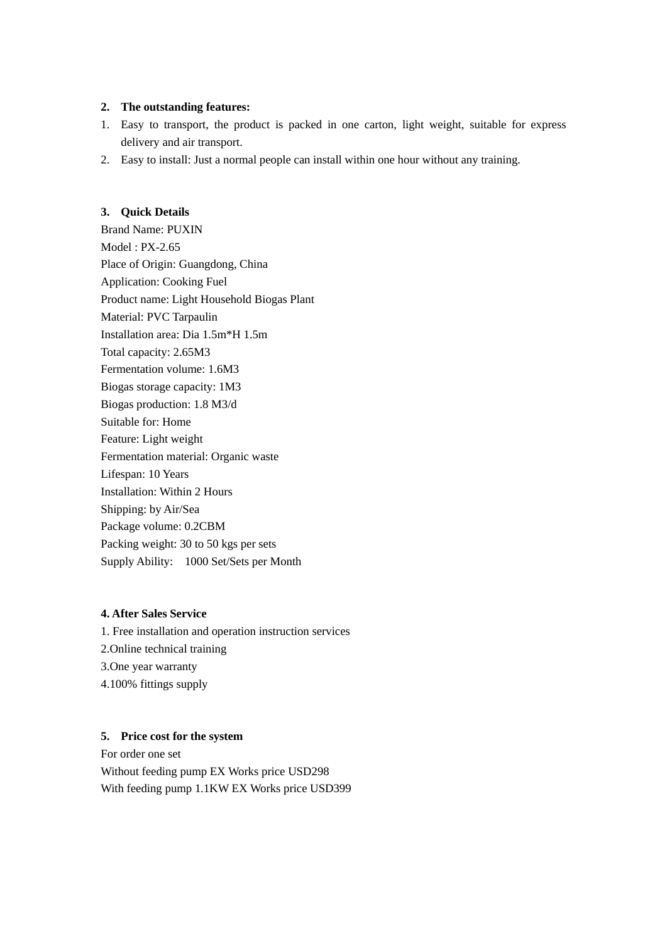#### **2. The outstanding features:**

- 1. Easy to transport, the product is packed in one carton, light weight, suitable for express delivery and air transport.
- 2. Easy to install: Just a normal people can install within one hour without any training.

#### **3. Quick Details**

Brand Name: PUXIN Model : PX-2.65 Place of Origin: Guangdong, China Application: Cooking Fuel Product name: Light Household Biogas Plant Material: PVC Tarpaulin Installation area: Dia 1.5m\*H 1.5m Total capacity: 2.65M3 Fermentation volume: 1.6M3 Biogas storage capacity: 1M3 Biogas production: 1.8 M3/d Suitable for: Home Feature: Light weight Fermentation material: Organic waste Lifespan: 10 Years Installation: Within 2 Hours Shipping: by Air/Sea Package volume: 0.2CBM Packing weight: 30 to 50 kgs per sets Supply Ability: 1000 Set/Sets per Month

#### **4. After Sales Service**

1. Free installation and operation instruction services 2.Online technical training 3.One year warranty 4.100% fittings supply

#### **5. Price cost for the system**

For order one set Without feeding pump EX Works price USD298 With feeding pump 1.1KW EX Works price USD399